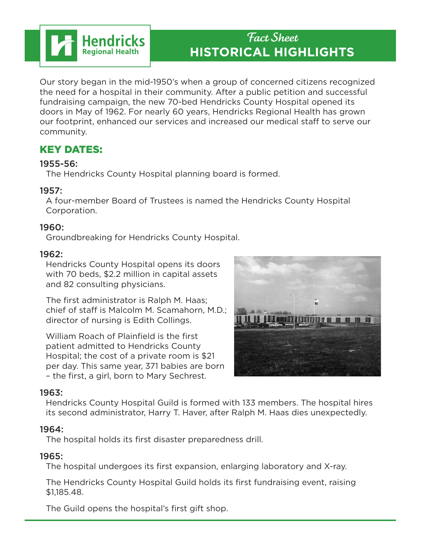

Our story began in the mid-1950's when a group of concerned citizens recognized the need for a hospital in their community. After a public petition and successful fundraising campaign, the new 70-bed Hendricks County Hospital opened its doors in May of 1962. For nearly 60 years, Hendricks Regional Health has grown our footprint, enhanced our services and increased our medical staff to serve our community.

# KEY DATES:

### 1955-56:

The Hendricks County Hospital planning board is formed.

### 1957:

A four-member Board of Trustees is named the Hendricks County Hospital Corporation.

### 1960:

Groundbreaking for Hendricks County Hospital.

### 1962:

Hendricks County Hospital opens its doors with 70 beds, \$2.2 million in capital assets and 82 consulting physicians.

The first administrator is Ralph M. Haas; chief of staff is Malcolm M. Scamahorn, M.D.; director of nursing is Edith Collings.

William Roach of Plainfield is the first patient admitted to Hendricks County Hospital; the cost of a private room is \$21 per day. This same year, 371 babies are born – the first, a girl, born to Mary Sechrest.



### 1963:

Hendricks County Hospital Guild is formed with 133 members. The hospital hires its second administrator, Harry T. Haver, after Ralph M. Haas dies unexpectedly.

### 1964:

The hospital holds its first disaster preparedness drill.

### 1965:

The hospital undergoes its first expansion, enlarging laboratory and X-ray.

The Hendricks County Hospital Guild holds its first fundraising event, raising \$1,185.48.

The Guild opens the hospital's first gift shop.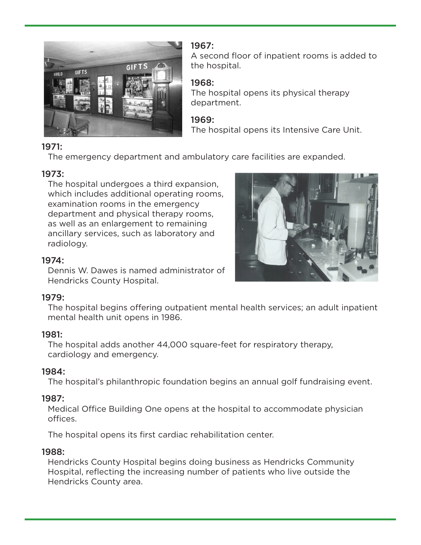

A second floor of inpatient rooms is added to the hospital.

### 1968:

The hospital opens its physical therapy department.

## 1969:

The hospital opens its Intensive Care Unit.

# 1971:

The emergency department and ambulatory care facilities are expanded.

## 1973:

The hospital undergoes a third expansion, which includes additional operating rooms, examination rooms in the emergency department and physical therapy rooms, as well as an enlargement to remaining ancillary services, such as laboratory and radiology.

### 1974:

Dennis W. Dawes is named administrator of Hendricks County Hospital.

## 1979:

The hospital begins offering outpatient mental health services; an adult inpatient mental health unit opens in 1986.

### 1981:

The hospital adds another 44,000 square-feet for respiratory therapy, cardiology and emergency.

## 1984:

The hospital's philanthropic foundation begins an annual golf fundraising event.

## 1987:

Medical Office Building One opens at the hospital to accommodate physician offices.

The hospital opens its first cardiac rehabilitation center.

### 1988:

Hendricks County Hospital begins doing business as Hendricks Community Hospital, reflecting the increasing number of patients who live outside the Hendricks County area.

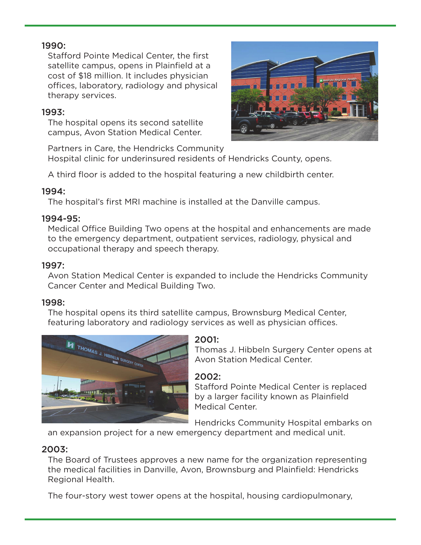Stafford Pointe Medical Center, the first satellite campus, opens in Plainfield at a cost of \$18 million. It includes physician offices, laboratory, radiology and physical therapy services.

## 1993:

The hospital opens its second satellite campus, Avon Station Medical Center.

Partners in Care, the Hendricks Community

Hospital clinic for underinsured residents of Hendricks County, opens.

A third floor is added to the hospital featuring a new childbirth center.

## 1994:

The hospital's first MRI machine is installed at the Danville campus.

## 1994-95:

Medical Office Building Two opens at the hospital and enhancements are made to the emergency department, outpatient services, radiology, physical and occupational therapy and speech therapy.

## 1997:

Avon Station Medical Center is expanded to include the Hendricks Community Cancer Center and Medical Building Two.

## 1998:

The hospital opens its third satellite campus, Brownsburg Medical Center, featuring laboratory and radiology services as well as physician offices.



# 2001:

Thomas J. Hibbeln Surgery Center opens at Avon Station Medical Center.

## 2002:

Stafford Pointe Medical Center is replaced by a larger facility known as Plainfield Medical Center.

Hendricks Community Hospital embarks on

an expansion project for a new emergency department and medical unit.

## 2003:

The Board of Trustees approves a new name for the organization representing the medical facilities in Danville, Avon, Brownsburg and Plainfield: Hendricks Regional Health.

The four-story west tower opens at the hospital, housing cardiopulmonary,

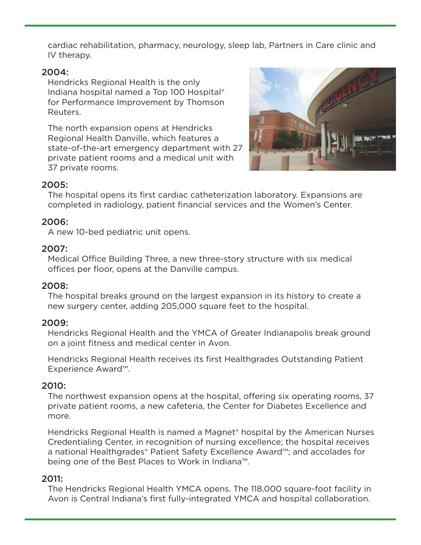cardiac rehabilitation, pharmacy, neurology, sleep lab, Partners in Care clinic and IV therapy.

### 2004:

Hendricks Regional Health is the only Indiana hospital named a Top 100 Hospital® for Performance Improvement by Thomson Reuters.

The north expansion opens at Hendricks Regional Health Danville, which features a state-of-the-art emergency department with 27 private patient rooms and a medical unit with 37 private rooms.



### 2005:

The hospital opens its first cardiac catheterization laboratory. Expansions are completed in radiology, patient financial services and the Women's Center.

### 2006:

A new 10-bed pediatric unit opens.

### 2007:

Medical Office Building Three, a new three-story structure with six medical offices per floor, opens at the Danville campus.

### 2008:

The hospital breaks ground on the largest expansion in its history to create a new surgery center, adding 205,000 square feet to the hospital.

### 2009:

Hendricks Regional Health and the YMCA of Greater Indianapolis break ground on a joint fitness and medical center in Avon.

Hendricks Regional Health receives its first Healthgrades Outstanding Patient Experience Award™.

### 2010:

The northwest expansion opens at the hospital, offering six operating rooms, 37 private patient rooms, a new cafeteria, the Center for Diabetes Excellence and more.

Hendricks Regional Health is named a Magnet® hospital by the American Nurses Credentialing Center, in recognition of nursing excellence; the hospital receives a national Healthgrades® Patient Safety Excellence Award™; and accolades for being one of the Best Places to Work in Indiana™.

### 2011:

The Hendricks Regional Health YMCA opens. The 118,000 square-foot facility in Avon is Central Indiana's first fully-integrated YMCA and hospital collaboration.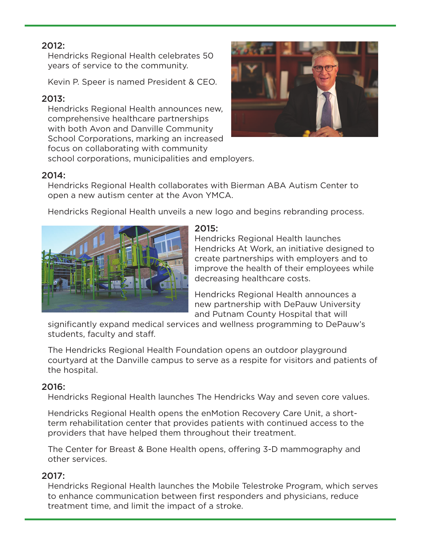Hendricks Regional Health celebrates 50 years of service to the community.

Kevin P. Speer is named President & CEO.

# 2013:

Hendricks Regional Health announces new, comprehensive healthcare partnerships with both Avon and Danville Community School Corporations, marking an increased focus on collaborating with community



school corporations, municipalities and employers.

## 2014:

Hendricks Regional Health collaborates with Bierman ABA Autism Center to open a new autism center at the Avon YMCA.

Hendricks Regional Health unveils a new logo and begins rebranding process.



## 2015:

Hendricks Regional Health launches Hendricks At Work, an initiative designed to create partnerships with employers and to improve the health of their employees while decreasing healthcare costs.

Hendricks Regional Health announces a new partnership with DePauw University and Putnam County Hospital that will

significantly expand medical services and wellness programming to DePauw's students, faculty and staff.

The Hendricks Regional Health Foundation opens an outdoor playground courtyard at the Danville campus to serve as a respite for visitors and patients of the hospital.

## 2016:

Hendricks Regional Health launches The Hendricks Way and seven core values.

Hendricks Regional Health opens the enMotion Recovery Care Unit, a shortterm rehabilitation center that provides patients with continued access to the providers that have helped them throughout their treatment.

The Center for Breast & Bone Health opens, offering 3-D mammography and other services.

## 2017:

Hendricks Regional Health launches the Mobile Telestroke Program, which serves to enhance communication between first responders and physicians, reduce treatment time, and limit the impact of a stroke.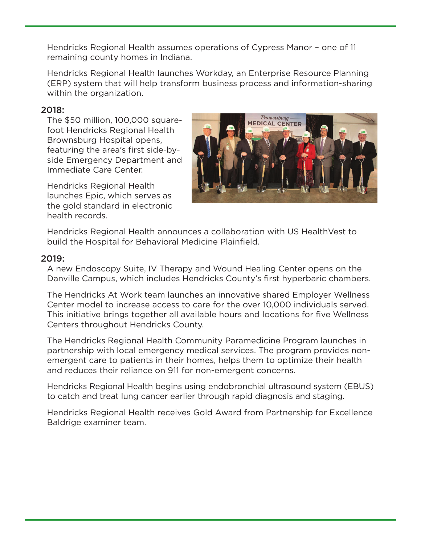Hendricks Regional Health assumes operations of Cypress Manor – one of 11 remaining county homes in Indiana.

Hendricks Regional Health launches Workday, an Enterprise Resource Planning (ERP) system that will help transform business process and information-sharing within the organization.

### 2018:

The \$50 million, 100,000 squarefoot Hendricks Regional Health Brownsburg Hospital opens, featuring the area's first side-byside Emergency Department and Immediate Care Center.

Hendricks Regional Health launches Epic, which serves as the gold standard in electronic health records.



Hendricks Regional Health announces a collaboration with US HealthVest to build the Hospital for Behavioral Medicine Plainfield.

### 2019:

A new Endoscopy Suite, IV Therapy and Wound Healing Center opens on the Danville Campus, which includes Hendricks County's first hyperbaric chambers.

The Hendricks At Work team launches an innovative shared Employer Wellness Center model to increase access to care for the over 10,000 individuals served. This initiative brings together all available hours and locations for five Wellness Centers throughout Hendricks County.

The Hendricks Regional Health Community Paramedicine Program launches in partnership with local emergency medical services. The program provides nonemergent care to patients in their homes, helps them to optimize their health and reduces their reliance on 911 for non-emergent concerns.

Hendricks Regional Health begins using endobronchial ultrasound system (EBUS) to catch and treat lung cancer earlier through rapid diagnosis and staging.

Hendricks Regional Health receives Gold Award from Partnership for Excellence Baldrige examiner team.